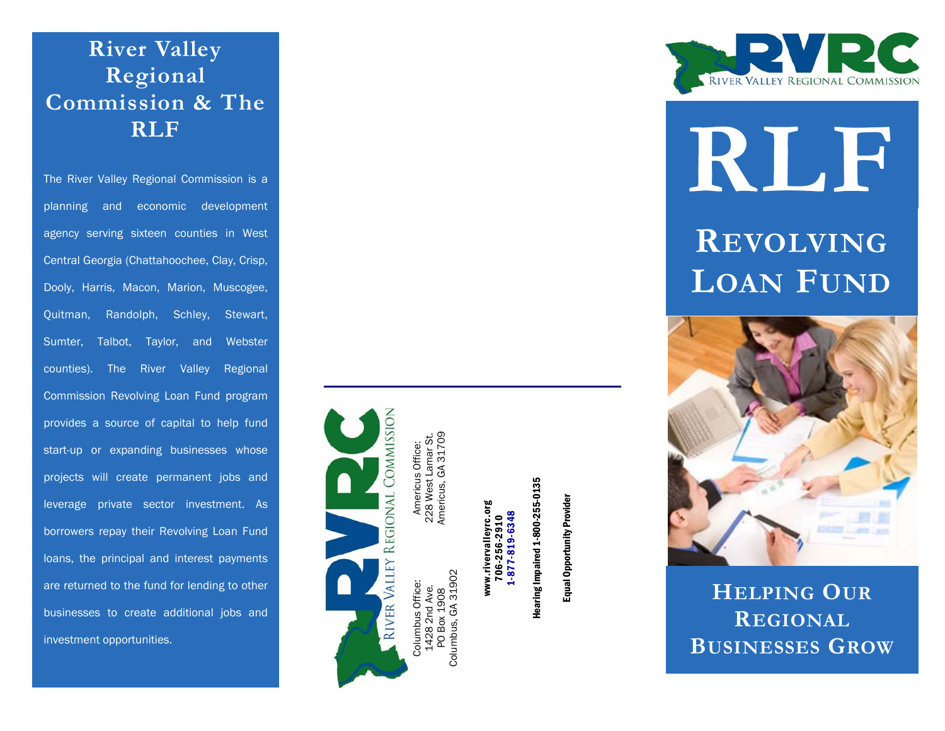### **River Valley Regional Commission & The RLF**

planning and economic development agency serving sixteen counties in West Central Georgia (Chattahoochee, Clay, Crisp, Dooly, Harris, Macon, Marion, Muscogee, Quitman, Randolph, Schley, Stewart, Sumter, Talbot, Taylor, and Webster counties). The River Valley Regional Commission Revolving Loan Fund program provides a source of capital to help fund start-up or expanding businesses whose projects will create permanent jobs and leverage private sector investment. As borrowers repay their Revolving Loan Fund loans, the principal and interest payments are returned to the fund for lending to other businesses to create additional jobs and investment opportunities.



Americus, GA 31709 228 West Lamar St. Americus Office: Americus Office E 228 West

> Columbus, GA 31902 31902 Columbus Office: us Office: 1428 2nd Ave. PO Box 1908 Columbus,

www.rivervalleyrc.org 706-256-2910

1-877-819-6348

 $-877 - 819 - 6348$ 

**Hearing Impaired 1-800-255-0135** Hearing Impaired 1-800-255-0135

Equal Opportunity Provider Equal Opportunity Provider



# The River Valley Regional Commission is a **RLF**

**REVOLVING LOAN FUND**



**HELPING OURREGIONALBUSINESSES GROW**